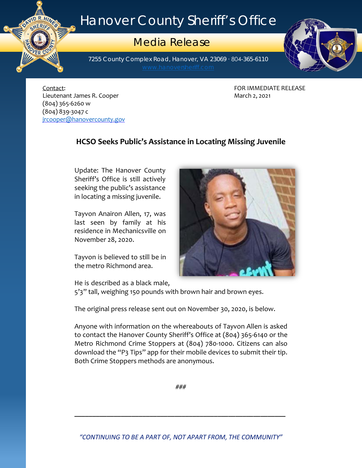## Hanover County Sheriff's Office

## Media Release

7255 County Complex Road, Hanover, VA 23069 ∙ 804-365-6110



Contact: FOR IMMEDIATE RELEASE Lieutenant James R. Cooper **March 2, 2021** March 2, 2021 (804) 365-6260 w (804) 839-3047 c [jrcooper@hanovercounty.gov](mailto:jrcooper@hanovercounty.gov)

ER C

## **HCSO Seeks Public's Assistance in Locating Missing Juvenile**

Update: The Hanover County Sheriff's Office is still actively seeking the public's assistance in locating a missing juvenile.

Tayvon Anairon Allen, 17, was last seen by family at his residence in Mechanicsville on November 28, 2020.

Tayvon is believed to still be in the metro Richmond area.



He is described as a black male,

5'3" tall, weighing 150 pounds with brown hair and brown eyes.

The original press release sent out on November 30, 2020, is below.

Anyone with information on the whereabouts of Tayvon Allen is asked to contact the Hanover County Sheriff's Office at (804) 365-6140 or the Metro Richmond Crime Stoppers at (804) 780-1000. Citizens can also download the "P3 Tips" app for their mobile devices to submit their tip. Both Crime Stoppers methods are anonymous.

###

**\_\_\_\_\_\_\_\_\_\_\_\_\_\_\_\_\_\_\_\_\_\_\_\_\_\_\_\_\_\_\_\_\_\_\_\_\_\_\_\_\_\_\_\_\_\_\_\_\_\_\_\_\_\_\_\_\_\_\_**